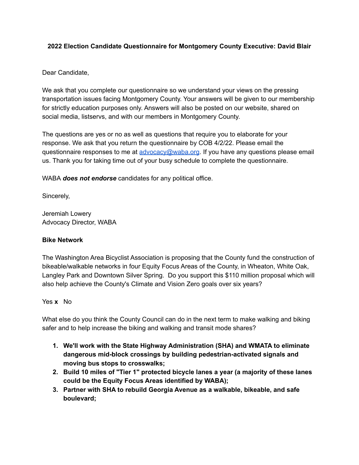## **2022 Election Candidate Questionnaire for Montgomery County Executive: David Blair**

### Dear Candidate,

We ask that you complete our questionnaire so we understand your views on the pressing transportation issues facing Montgomery County. Your answers will be given to our membership for strictly education purposes only. Answers will also be posted on our website, shared on social media, listservs, and with our members in Montgomery County.

The questions are yes or no as well as questions that require you to elaborate for your response. We ask that you return the questionnaire by COB 4/2/22. Please email the questionnaire responses to me at [advocacy@waba.org](mailto:advocacy@waba.org). If you have any questions please email us. Thank you for taking time out of your busy schedule to complete the questionnaire.

WABA *does not endorse* candidates for any political office.

Sincerely,

Jeremiah Lowery Advocacy Director, WABA

### **Bike Network**

The Washington Area Bicyclist Association is proposing that the County fund the construction of bikeable/walkable networks in four Equity Focus Areas of the County, in Wheaton, White Oak, Langley Park and Downtown Silver Spring. Do you support this \$110 million proposal which will also help achieve the County's Climate and Vision Zero goals over six years?

### Yes **x** No

What else do you think the County Council can do in the next term to make walking and biking safer and to help increase the biking and walking and transit mode shares?

- **1. We'll work with the State Highway Administration (SHA) and WMATA to eliminate dangerous mid-block crossings by building pedestrian-activated signals and moving bus stops to crosswalks;**
- **2. Build 10 miles of "Tier 1" protected bicycle lanes a year (a majority of these lanes could be the Equity Focus Areas identified by WABA);**
- **3. Partner with SHA to rebuild Georgia Avenue as a walkable, bikeable, and safe boulevard;**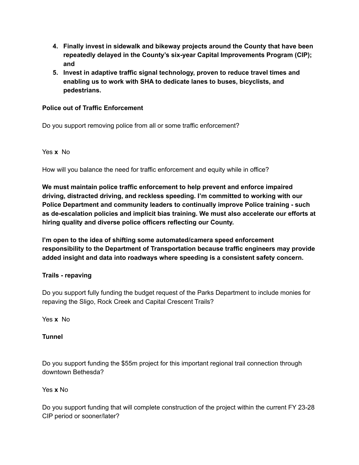- **4. Finally invest in sidewalk and bikeway projects around the County that have been repeatedly delayed in the County's six-year Capital Improvements Program (CIP); and**
- **5. Invest in adaptive traffic signal technology, proven to reduce travel times and enabling us to work with SHA to dedicate lanes to buses, bicyclists, and pedestrians.**

## **Police out of Traffic Enforcement**

Do you support removing police from all or some traffic enforcement?

### Yes **x** No

How will you balance the need for traffic enforcement and equity while in office?

**We must maintain police traffic enforcement to help prevent and enforce impaired driving, distracted driving, and reckless speeding. I'm committed to working with our Police Department and community leaders to continually improve Police training - such as de-escalation policies and implicit bias training. We must also accelerate our efforts at hiring quality and diverse police officers reflecting our County.**

**I'm open to the idea of shifting some automated/camera speed enforcement responsibility to the Department of Transportation because traffic engineers may provide added insight and data into roadways where speeding is a consistent safety concern.**

### **Trails - repaving**

Do you support fully funding the budget request of the Parks Department to include monies for repaving the Sligo, Rock Creek and Capital Crescent Trails?

Yes **x** No

### **Tunnel**

Do you support funding the \$55m project for this important regional trail connection through downtown Bethesda?

### Yes **x** No

Do you support funding that will complete construction of the project within the current FY 23-28 CIP period or sooner/later?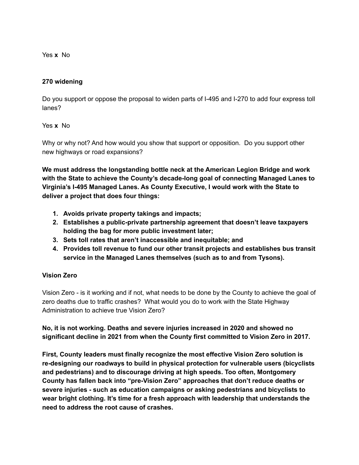Yes **x** No

#### **270 widening**

Do you support or oppose the proposal to widen parts of I-495 and I-270 to add four express toll lanes?

#### Yes **x** No

Why or why not? And how would you show that support or opposition. Do you support other new highways or road expansions?

**We must address the longstanding bottle neck at the American Legion Bridge and work with the State to achieve the County's decade-long goal of connecting Managed Lanes to Virginia's I-495 Managed Lanes. As County Executive, I would work with the State to deliver a project that does four things:**

- **1. Avoids private property takings and impacts;**
- **2. Establishes a public-private partnership agreement that doesn't leave taxpayers holding the bag for more public investment later;**
- **3. Sets toll rates that aren't inaccessible and inequitable; and**
- **4. Provides toll revenue to fund our other transit projects and establishes bus transit service in the Managed Lanes themselves (such as to and from Tysons).**

### **Vision Zero**

Vision Zero - is it working and if not, what needs to be done by the County to achieve the goal of zero deaths due to traffic crashes? What would you do to work with the State Highway Administration to achieve true Vision Zero?

**No, it is not working. Deaths and severe injuries increased in 2020 and showed no significant decline in 2021 from when the County first committed to Vision Zero in 2017.**

**First, County leaders must finally recognize the most effective Vision Zero solution is re-designing our roadways to build in physical protection for vulnerable users (bicyclists and pedestrians) and to discourage driving at high speeds. Too often, Montgomery County has fallen back into "pre-Vision Zero" approaches that don't reduce deaths or severe injuries - such as education campaigns or asking pedestrians and bicyclists to wear bright clothing. It's time for a fresh approach with leadership that understands the need to address the root cause of crashes.**